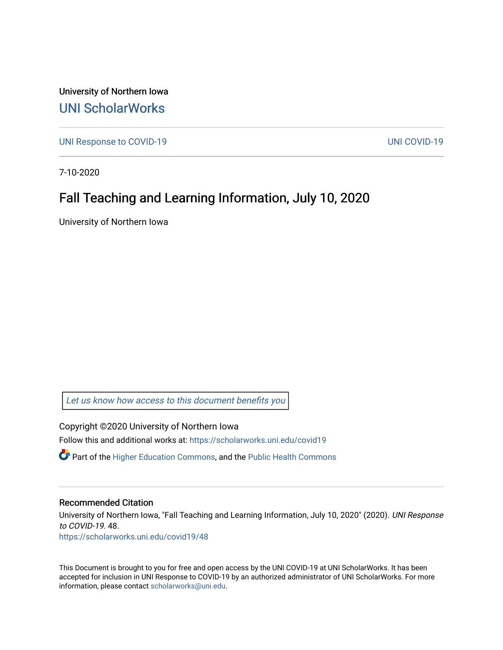University of Northern Iowa [UNI ScholarWorks](https://scholarworks.uni.edu/) 

[UNI Response to COVID-19](https://scholarworks.uni.edu/covid19) [UNI COVID-19](https://scholarworks.uni.edu/covid) 

7-10-2020

### Fall Teaching and Learning Information, July 10, 2020

University of Northern Iowa

[Let us know how access to this document benefits you](https://scholarworks.uni.edu/feedback_form.html) 

Copyright ©2020 University of Northern Iowa Follow this and additional works at: [https://scholarworks.uni.edu/covid19](https://scholarworks.uni.edu/covid19?utm_source=scholarworks.uni.edu%2Fcovid19%2F48&utm_medium=PDF&utm_campaign=PDFCoverPages)

 $\bullet$  Part of the [Higher Education Commons,](http://network.bepress.com/hgg/discipline/1245?utm_source=scholarworks.uni.edu%2Fcovid19%2F48&utm_medium=PDF&utm_campaign=PDFCoverPages) and the Public Health Commons

#### Recommended Citation

University of Northern Iowa, "Fall Teaching and Learning Information, July 10, 2020" (2020). UNI Response to COVID-19. 48.

[https://scholarworks.uni.edu/covid19/48](https://scholarworks.uni.edu/covid19/48?utm_source=scholarworks.uni.edu%2Fcovid19%2F48&utm_medium=PDF&utm_campaign=PDFCoverPages) 

This Document is brought to you for free and open access by the UNI COVID-19 at UNI ScholarWorks. It has been accepted for inclusion in UNI Response to COVID-19 by an authorized administrator of UNI ScholarWorks. For more information, please contact [scholarworks@uni.edu.](mailto:scholarworks@uni.edu)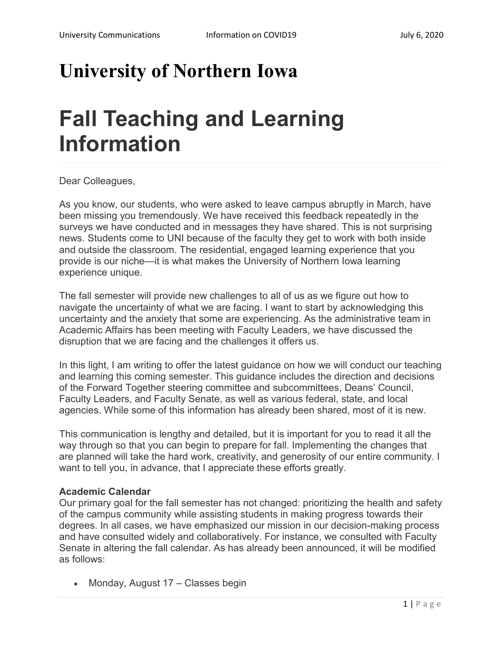## **University of Northern Iowa**

# **Fall Teaching and Learning Information**

Dear Colleagues,

As you know, our students, who were asked to leave campus abruptly in March, have been missing you tremendously. We have received this feedback repeatedly in the surveys we have conducted and in messages they have shared. This is not surprising news. Students come to UNI because of the faculty they get to work with both inside and outside the classroom. The residential, engaged learning experience that you provide is our niche—it is what makes the University of Northern Iowa learning experience unique.

The fall semester will provide new challenges to all of us as we figure out how to navigate the uncertainty of what we are facing. I want to start by acknowledging this uncertainty and the anxiety that some are experiencing. As the administrative team in Academic Affairs has been meeting with Faculty Leaders, we have discussed the disruption that we are facing and the challenges it offers us.

In this light, I am writing to offer the latest guidance on how we will conduct our teaching and learning this coming semester. This guidance includes the direction and decisions of the Forward Together steering committee and subcommittees, Deans' Council, Faculty Leaders, and Faculty Senate, as well as various federal, state, and local agencies. While some of this information has already been shared, most of it is new.

This communication is lengthy and detailed, but it is important for you to read it all the way through so that you can begin to prepare for fall. Implementing the changes that are planned will take the hard work, creativity, and generosity of our entire community. I want to tell you, in advance, that I appreciate these efforts greatly.

#### **Academic Calendar**

Our primary goal for the fall semester has not changed: prioritizing the health and safety of the campus community while assisting students in making progress towards their degrees. In all cases, we have emphasized our mission in our decision-making process and have consulted widely and collaboratively. For instance, we consulted with Faculty Senate in altering the fall calendar. As has already been announced, it will be modified as follows:

• Monday, August 17 – Classes begin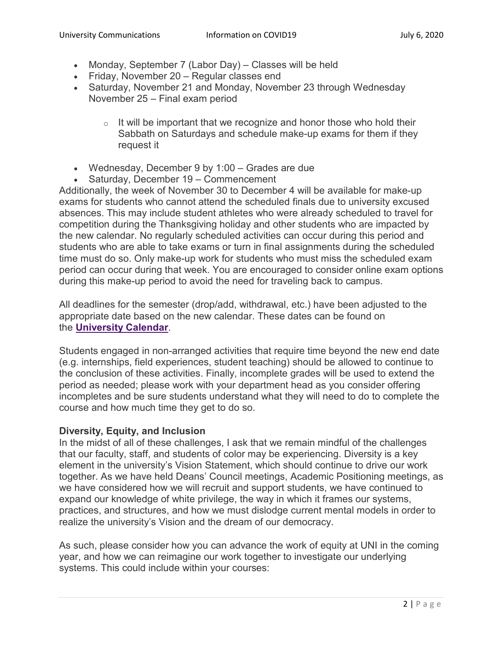- Monday, September 7 (Labor Day) Classes will be held
- Friday, November 20 Regular classes end
- Saturday, November 21 and Monday, November 23 through Wednesday November 25 – Final exam period
	- $\circ$  It will be important that we recognize and honor those who hold their Sabbath on Saturdays and schedule make-up exams for them if they request it
- Wednesday, December 9 by 1:00 Grades are due
- Saturday, December 19 Commencement

Additionally, the week of November 30 to December 4 will be available for make-up exams for students who cannot attend the scheduled finals due to university excused absences. This may include student athletes who were already scheduled to travel for competition during the Thanksgiving holiday and other students who are impacted by the new calendar. No regularly scheduled activities can occur during this period and students who are able to take exams or turn in final assignments during the scheduled time must do so. Only make-up work for students who must miss the scheduled exam period can occur during that week. You are encouraged to consider online exam options during this make-up period to avoid the need for traveling back to campus.

All deadlines for the semester (drop/add, withdrawal, etc.) have been adjusted to the appropriate date based on the new calendar. These dates can be found on the **[University Calendar](https://registrar.uni.edu/calendar)**.

Students engaged in non-arranged activities that require time beyond the new end date (e.g. internships, field experiences, student teaching) should be allowed to continue to the conclusion of these activities. Finally, incomplete grades will be used to extend the period as needed; please work with your department head as you consider offering incompletes and be sure students understand what they will need to do to complete the course and how much time they get to do so.

#### **Diversity, Equity, and Inclusion**

In the midst of all of these challenges, I ask that we remain mindful of the challenges that our faculty, staff, and students of color may be experiencing. Diversity is a key element in the university's Vision Statement, which should continue to drive our work together. As we have held Deans' Council meetings, Academic Positioning meetings, as we have considered how we will recruit and support students, we have continued to expand our knowledge of white privilege, the way in which it frames our systems, practices, and structures, and how we must dislodge current mental models in order to realize the university's Vision and the dream of our democracy.

As such, please consider how you can advance the work of equity at UNI in the coming year, and how we can reimagine our work together to investigate our underlying systems. This could include within your courses: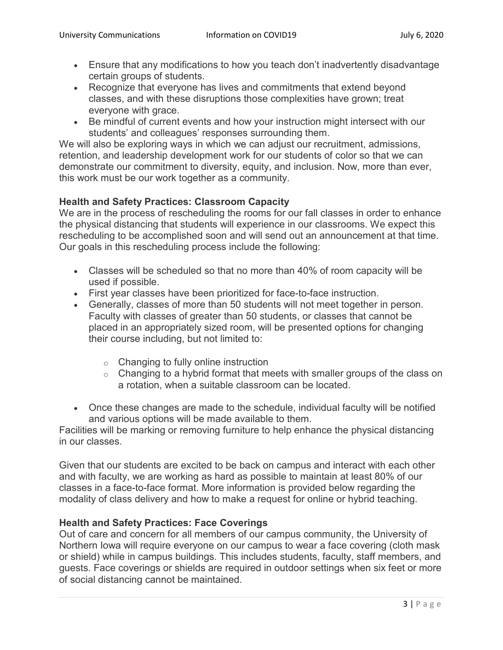- Ensure that any modifications to how you teach don't inadvertently disadvantage certain groups of students.
- Recognize that everyone has lives and commitments that extend beyond classes, and with these disruptions those complexities have grown; treat everyone with grace.
- Be mindful of current events and how your instruction might intersect with our students' and colleagues' responses surrounding them.

We will also be exploring ways in which we can adjust our recruitment, admissions, retention, and leadership development work for our students of color so that we can demonstrate our commitment to diversity, equity, and inclusion. Now, more than ever, this work must be our work together as a community.

#### **Health and Safety Practices: Classroom Capacity**

We are in the process of rescheduling the rooms for our fall classes in order to enhance the physical distancing that students will experience in our classrooms. We expect this rescheduling to be accomplished soon and will send out an announcement at that time. Our goals in this rescheduling process include the following:

- Classes will be scheduled so that no more than 40% of room capacity will be used if possible.
- First year classes have been prioritized for face-to-face instruction.
- Generally, classes of more than 50 students will not meet together in person. Faculty with classes of greater than 50 students, or classes that cannot be placed in an appropriately sized room, will be presented options for changing their course including, but not limited to:
	- o Changing to fully online instruction
	- $\circ$  Changing to a hybrid format that meets with smaller groups of the class on a rotation, when a suitable classroom can be located.
- Once these changes are made to the schedule, individual faculty will be notified and various options will be made available to them.

Facilities will be marking or removing furniture to help enhance the physical distancing in our classes.

Given that our students are excited to be back on campus and interact with each other and with faculty, we are working as hard as possible to maintain at least 80% of our classes in a face-to-face format. More information is provided below regarding the modality of class delivery and how to make a request for online or hybrid teaching.

#### **Health and Safety Practices: Face Coverings**

Out of care and concern for all members of our campus community, the University of Northern Iowa will require everyone on our campus to wear a face covering (cloth mask or shield) while in campus buildings. This includes students, faculty, staff members, and guests. Face coverings or shields are required in outdoor settings when six feet or more of social distancing cannot be maintained.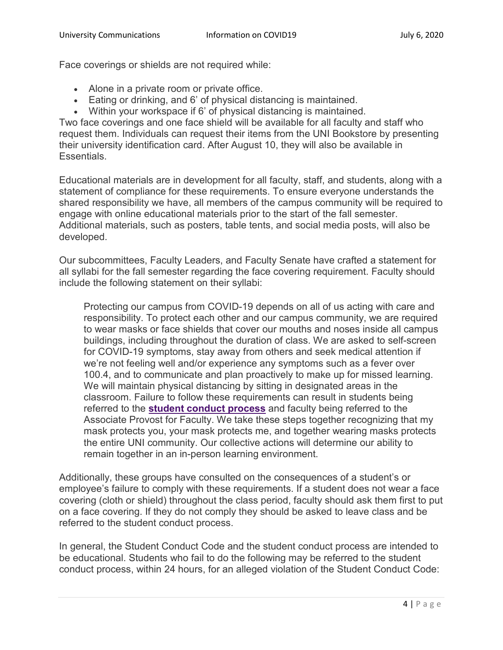Face coverings or shields are not required while:

- Alone in a private room or private office.
- Eating or drinking, and 6' of physical distancing is maintained.
- Within your workspace if 6' of physical distancing is maintained.

Two face coverings and one face shield will be available for all faculty and staff who request them. Individuals can request their items from the UNI Bookstore by presenting their university identification card. After August 10, they will also be available in Essentials.

Educational materials are in development for all faculty, staff, and students, along with a statement of compliance for these requirements. To ensure everyone understands the shared responsibility we have, all members of the campus community will be required to engage with online educational materials prior to the start of the fall semester. Additional materials, such as posters, table tents, and social media posts, will also be developed.

Our subcommittees, Faculty Leaders, and Faculty Senate have crafted a statement for all syllabi for the fall semester regarding the face covering requirement. Faculty should include the following statement on their syllabi:

Protecting our campus from COVID-19 depends on all of us acting with care and responsibility. To protect each other and our campus community, we are required to wear masks or face shields that cover our mouths and noses inside all campus buildings, including throughout the duration of class. We are asked to self-screen for COVID-19 symptoms, stay away from others and seek medical attention if we're not feeling well and/or experience any symptoms such as a fever over 100.4, and to communicate and plan proactively to make up for missed learning. We will maintain physical distancing by sitting in designated areas in the classroom. Failure to follow these requirements can result in students being referred to the **[student conduct process](https://cm.maxient.com/reportingform.php?UnivofNorthernIowa&layout_id=15)** and faculty being referred to the Associate Provost for Faculty. We take these steps together recognizing that my mask protects you, your mask protects me, and together wearing masks protects the entire UNI community. Our collective actions will determine our ability to remain together in an in-person learning environment.

Additionally, these groups have consulted on the consequences of a student's or employee's failure to comply with these requirements. If a student does not wear a face covering (cloth or shield) throughout the class period, faculty should ask them first to put on a face covering. If they do not comply they should be asked to leave class and be referred to the student conduct process.

In general, the Student Conduct Code and the student conduct process are intended to be educational. Students who fail to do the following may be referred to the student conduct process, within 24 hours, for an alleged violation of the Student Conduct Code: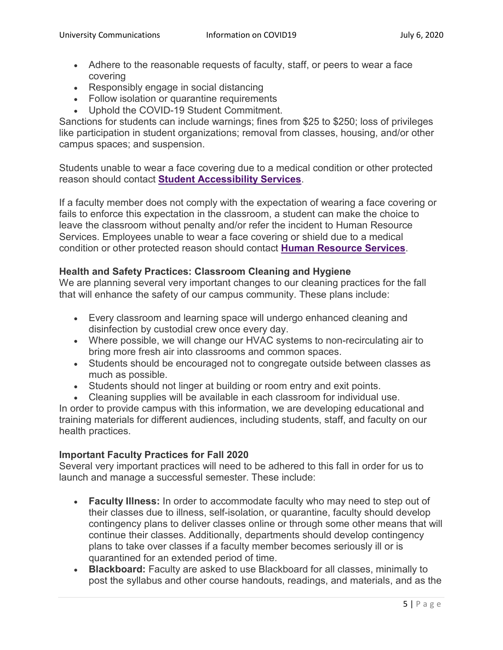- Adhere to the reasonable requests of faculty, staff, or peers to wear a face covering
- Responsibly engage in social distancing
- Follow isolation or quarantine requirements
- Uphold the COVID-19 Student Commitment.

Sanctions for students can include warnings; fines from \$25 to \$250; loss of privileges like participation in student organizations; removal from classes, housing, and/or other campus spaces; and suspension.

Students unable to wear a face covering due to a medical condition or other protected reason should contact **[Student Accessibility Services](https://sas.uni.edu/)**.

If a faculty member does not comply with the expectation of wearing a face covering or fails to enforce this expectation in the classroom, a student can make the choice to leave the classroom without penalty and/or refer the incident to Human Resource Services. Employees unable to wear a face covering or shield due to a medical condition or other protected reason should contact **[Human Resource Services](https://hrs.uni.edu/)**.

#### **Health and Safety Practices: Classroom Cleaning and Hygiene**

We are planning several very important changes to our cleaning practices for the fall that will enhance the safety of our campus community. These plans include:

- Every classroom and learning space will undergo enhanced cleaning and disinfection by custodial crew once every day.
- Where possible, we will change our HVAC systems to non-recirculating air to bring more fresh air into classrooms and common spaces.
- Students should be encouraged not to congregate outside between classes as much as possible.
- Students should not linger at building or room entry and exit points.
- Cleaning supplies will be available in each classroom for individual use.

In order to provide campus with this information, we are developing educational and training materials for different audiences, including students, staff, and faculty on our health practices.

#### **Important Faculty Practices for Fall 2020**

Several very important practices will need to be adhered to this fall in order for us to launch and manage a successful semester. These include:

- **Faculty Illness:** In order to accommodate faculty who may need to step out of their classes due to illness, self-isolation, or quarantine, faculty should develop contingency plans to deliver classes online or through some other means that will continue their classes. Additionally, departments should develop contingency plans to take over classes if a faculty member becomes seriously ill or is quarantined for an extended period of time.
- **Blackboard:** Faculty are asked to use Blackboard for all classes, minimally to post the syllabus and other course handouts, readings, and materials, and as the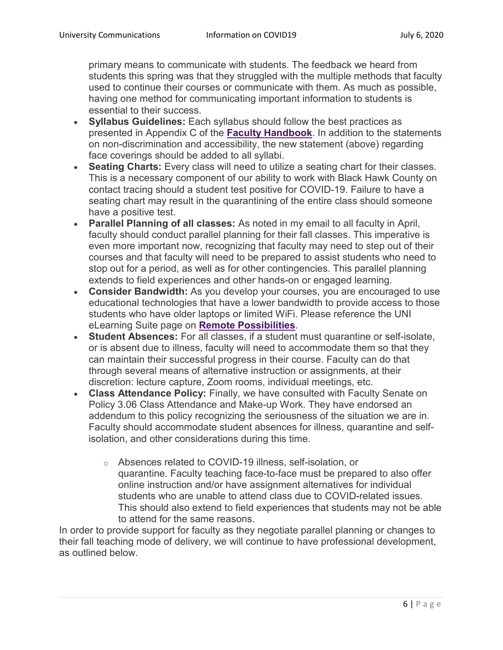primary means to communicate with students. The feedback we heard from students this spring was that they struggled with the multiple methods that faculty used to continue their courses or communicate with them. As much as possible, having one method for communicating important information to students is essential to their success.

- **Syllabus Guidelines:** Each syllabus should follow the best practices as presented in Appendix C of the **[Faculty Handbook](https://provost.uni.edu/sites/default/files/faculty_handbook_-_july_1_2020_-_june_30_2021.pdf)**. In addition to the statements on non-discrimination and accessibility, the new statement (above) regarding face coverings should be added to all syllabi.
- **Seating Charts:** Every class will need to utilize a seating chart for their classes. This is a necessary component of our ability to work with Black Hawk County on contact tracing should a student test positive for COVID-19. Failure to have a seating chart may result in the quarantining of the entire class should someone have a positive test.
- **Parallel Planning of all classes:** As noted in my email to all faculty in April, faculty should conduct parallel planning for their fall classes. This imperative is even more important now, recognizing that faculty may need to step out of their courses and that faculty will need to be prepared to assist students who need to stop out for a period, as well as for other contingencies. This parallel planning extends to field experiences and other hands-on or engaged learning.
- **Consider Bandwidth:** As you develop your courses, you are encouraged to use educational technologies that have a lower bandwidth to provide access to those students who have older laptops or limited WiFi. Please reference the UNI eLearning Suite page on **[Remote Possibilities](https://provost.uni.edu/sites/default/files/faculty_handbook_-_july_1_2020_-_june_30_2021.pdf)**.
- **Student Absences:** For all classes, if a student must quarantine or self-isolate, or is absent due to illness, faculty will need to accommodate them so that they can maintain their successful progress in their course. Faculty can do that through several means of alternative instruction or assignments, at their discretion: lecture capture, Zoom rooms, individual meetings, etc.
- **Class Attendance Policy:** Finally, we have consulted with Faculty Senate on Policy 3.06 Class Attendance and Make-up Work. They have endorsed an addendum to this policy recognizing the seriousness of the situation we are in. Faculty should accommodate student absences for illness, quarantine and selfisolation, and other considerations during this time.
	- o Absences related to COVID-19 illness, self-isolation, or quarantine. Faculty teaching face-to-face must be prepared to also offer online instruction and/or have assignment alternatives for individual students who are unable to attend class due to COVID-related issues. This should also extend to field experiences that students may not be able to attend for the same reasons.

In order to provide support for faculty as they negotiate parallel planning or changes to their fall teaching mode of delivery, we will continue to have professional development, as outlined below.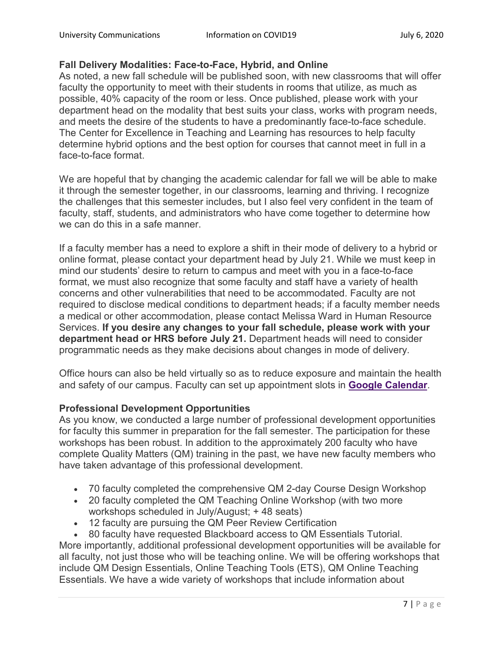#### **Fall Delivery Modalities: Face-to-Face, Hybrid, and Online**

As noted, a new fall schedule will be published soon, with new classrooms that will offer faculty the opportunity to meet with their students in rooms that utilize, as much as possible, 40% capacity of the room or less. Once published, please work with your department head on the modality that best suits your class, works with program needs, and meets the desire of the students to have a predominantly face-to-face schedule. The Center for Excellence in Teaching and Learning has resources to help faculty determine hybrid options and the best option for courses that cannot meet in full in a face-to-face format.

We are hopeful that by changing the academic calendar for fall we will be able to make it through the semester together, in our classrooms, learning and thriving. I recognize the challenges that this semester includes, but I also feel very confident in the team of faculty, staff, students, and administrators who have come together to determine how we can do this in a safe manner.

If a faculty member has a need to explore a shift in their mode of delivery to a hybrid or online format, please contact your department head by July 21. While we must keep in mind our students' desire to return to campus and meet with you in a face-to-face format, we must also recognize that some faculty and staff have a variety of health concerns and other vulnerabilities that need to be accommodated. Faculty are not required to disclose medical conditions to department heads; if a faculty member needs a medical or other accommodation, please contact Melissa Ward in Human Resource Services. **If you desire any changes to your fall schedule, please work with your department head or HRS before July 21.** Department heads will need to consider programmatic needs as they make decisions about changes in mode of delivery.

Office hours can also be held virtually so as to reduce exposure and maintain the health and safety of our campus. Faculty can set up appointment slots in **[Google Calendar](https://elearning.uni.edu/faq/how-do-i-create-appointment-slots-google-calendar)**.

#### **Professional Development Opportunities**

As you know, we conducted a large number of professional development opportunities for faculty this summer in preparation for the fall semester. The participation for these workshops has been robust. In addition to the approximately 200 faculty who have complete Quality Matters (QM) training in the past, we have new faculty members who have taken advantage of this professional development.

- 70 faculty completed the comprehensive QM 2-day Course Design Workshop
- 20 faculty completed the QM Teaching Online Workshop (with two more workshops scheduled in July/August; + 48 seats)
- 12 faculty are pursuing the QM Peer Review Certification
- 80 faculty have requested Blackboard access to QM Essentials Tutorial.

More importantly, additional professional development opportunities will be available for all faculty, not just those who will be teaching online. We will be offering workshops that include QM Design Essentials, Online Teaching Tools (ETS), QM Online Teaching Essentials. We have a wide variety of workshops that include information about